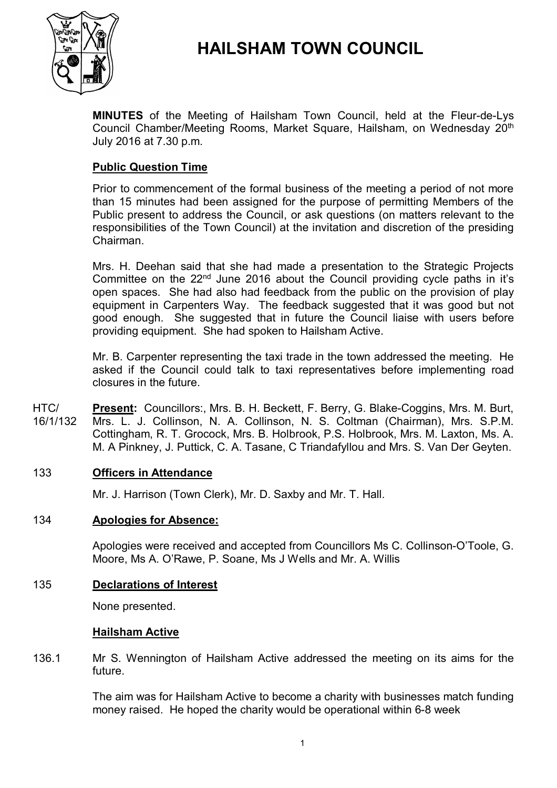

# **HAILSHAM TOWN COUNCIL**

**MINUTES** of the Meeting of Hailsham Town Council, held at the Fleur-de-Lys Council Chamber/Meeting Rooms, Market Square, Hailsham, on Wednesday 20<sup>th</sup> July 2016 at 7.30 p.m.

# **Public Question Time**

Prior to commencement of the formal business of the meeting a period of not more than 15 minutes had been assigned for the purpose of permitting Members of the Public present to address the Council, or ask questions (on matters relevant to the responsibilities of the Town Council) at the invitation and discretion of the presiding Chairman.

Mrs. H. Deehan said that she had made a presentation to the Strategic Projects Committee on the  $22<sup>nd</sup>$  June 2016 about the Council providing cycle paths in it's open spaces. She had also had feedback from the public on the provision of play equipment in Carpenters Way. The feedback suggested that it was good but not good enough. She suggested that in future the Council liaise with users before providing equipment. She had spoken to Hailsham Active.

Mr. B. Carpenter representing the taxi trade in the town addressed the meeting. He asked if the Council could talk to taxi representatives before implementing road closures in the future.

 $HTC/$ 16/1/132 **Present:** Councillors:, Mrs. B. H. Beckett, F. Berry, G. Blake-Coggins, Mrs. M. Burt, Mrs. L. J. Collinson, N. A. Collinson, N. S. Coltman (Chairman), Mrs. S.P.M. Cottingham, R. T. Grocock, Mrs. B. Holbrook, P.S. Holbrook, Mrs. M. Laxton, Ms. A. M. A Pinkney, J. Puttick, C. A. Tasane, C Triandafyllou and Mrs. S. Van Der Geyten.

# 133 **Officers in Attendance**

Mr. J. Harrison (Town Clerk), Mr. D. Saxby and Mr. T. Hall.

# 134 **Apologies for Absence:**

Apologies were received and accepted from Councillors Ms C. Collinson-O'Toole, G. Moore, Ms A. O'Rawe, P. Soane, Ms J Wells and Mr. A. Willis

### 135 **Declarations of Interest**

None presented.

### **Hailsham Active**

136.1 Mr S. Wennington of Hailsham Active addressed the meeting on its aims for the future.

> The aim was for Hailsham Active to become a charity with businesses match funding money raised. He hoped the charity would be operational within 6-8 week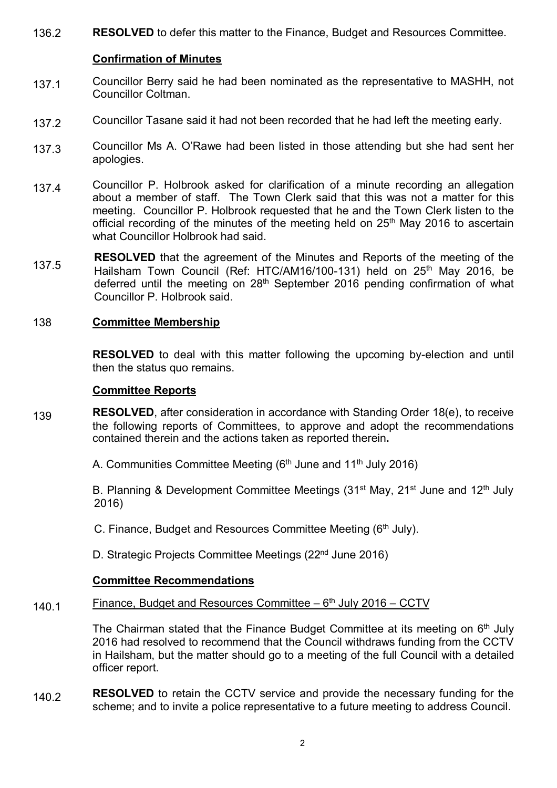136.2 **RESOLVED** to defer this matter to the Finance, Budget and Resources Committee.

# **Confirmation of Minutes**

- 137.1 Councillor Berry said he had been nominated as the representative to MASHH, not Councillor Coltman.
- 137.2 Councillor Tasane said it had not been recorded that he had left the meeting early.
- 137.3 Councillor Ms A. O'Rawe had been listed in those attending but she had sent her apologies.
- 137.4 Councillor P. Holbrook asked for clarification of a minute recording an allegation about a member of staff. The Town Clerk said that this was not a matter for this meeting. Councillor P. Holbrook requested that he and the Town Clerk listen to the official recording of the minutes of the meeting held on  $25<sup>th</sup>$  May 2016 to ascertain what Councillor Holbrook had said.
- 137.5 **RESOLVED** that the agreement of the Minutes and Reports of the meeting of the Hailsham Town Council (Ref: HTC/AM16/100-131) held on 25<sup>th</sup> May 2016, be deferred until the meeting on 28<sup>th</sup> September 2016 pending confirmation of what Councillor P. Holbrook said.

# 138 **Committee Membership**

**RESOLVED** to deal with this matter following the upcoming by-election and until then the status quo remains.

### **Committee Reports**

- 139 **RESOLVED**, after consideration in accordance with Standing Order 18(e), to receive the following reports of Committees, to approve and adopt the recommendations contained therein and the actions taken as reported therein**.**
	- A. Communities Committee Meeting ( $6<sup>th</sup>$  June and 11<sup>th</sup> July 2016)

B. Planning & Development Committee Meetings (31<sup>st</sup> May, 21<sup>st</sup> June and 12<sup>th</sup> July 2016)

C. Finance, Budget and Resources Committee Meeting (6<sup>th</sup> July).

D. Strategic Projects Committee Meetings (22<sup>nd</sup> June 2016)

# **Committee Recommendations**

#### 140.1 Finance, Budget and Resources Committee - 6<sup>th</sup> July 2016 - CCTV

The Chairman stated that the Finance Budget Committee at its meeting on  $6<sup>th</sup>$  July 2016 had resolved to recommend that the Council withdraws funding from the CCTV in Hailsham, but the matter should go to a meeting of the full Council with a detailed officer report.

140.2 **RESOLVED** to retain the CCTV service and provide the necessary funding for the scheme; and to invite a police representative to a future meeting to address Council.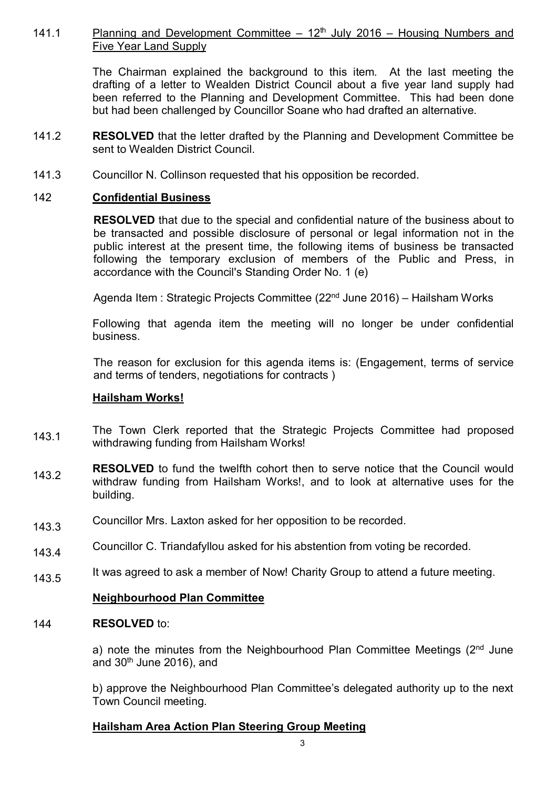#### 141.1 Planning and Development Committee  $-12<sup>th</sup>$  July 2016 – Housing Numbers and Five Year Land Supply

The Chairman explained the background to this item. At the last meeting the drafting of a letter to Wealden District Council about a five year land supply had been referred to the Planning and Development Committee. This had been done but had been challenged by Councillor Soane who had drafted an alternative.

- 141.2 **RESOLVED** that the letter drafted by the Planning and Development Committee be sent to Wealden District Council.
- 141.3 Councillor N. Collinson requested that his opposition be recorded.

# 142 **Confidential Business**

**RESOLVED** that due to the special and confidential nature of the business about to be transacted and possible disclosure of personal or legal information not in the public interest at the present time, the following items of business be transacted following the temporary exclusion of members of the Public and Press, in accordance with the Council's Standing Order No. 1 (e)

Agenda Item : Strategic Projects Committee (22nd June 2016) – Hailsham Works

Following that agenda item the meeting will no longer be under confidential business.

The reason for exclusion for this agenda items is: (Engagement, terms of service and terms of tenders, negotiations for contracts )

### **Hailsham Works!**

- 143.1 The Town Clerk reported that the Strategic Projects Committee had proposed withdrawing funding from Hailsham Works!
- 143.2 **RESOLVED** to fund the twelfth cohort then to serve notice that the Council would withdraw funding from Hailsham Works!, and to look at alternative uses for the building.
- 143.3 Councillor Mrs. Laxton asked for her opposition to be recorded.
- 143.4 Councillor C. Triandafyllou asked for his abstention from voting be recorded.
- 143.5 It was agreed to ask a member of Now! Charity Group to attend a future meeting.

# **Neighbourhood Plan Committee**

#### 144 **RESOLVED** to:

a) note the minutes from the Neighbourhood Plan Committee Meetings (2<sup>nd</sup> June and  $30<sup>th</sup>$  June 2016), and

b) approve the Neighbourhood Plan Committee's delegated authority up to the next Town Council meeting.

# **Hailsham Area Action Plan Steering Group Meeting**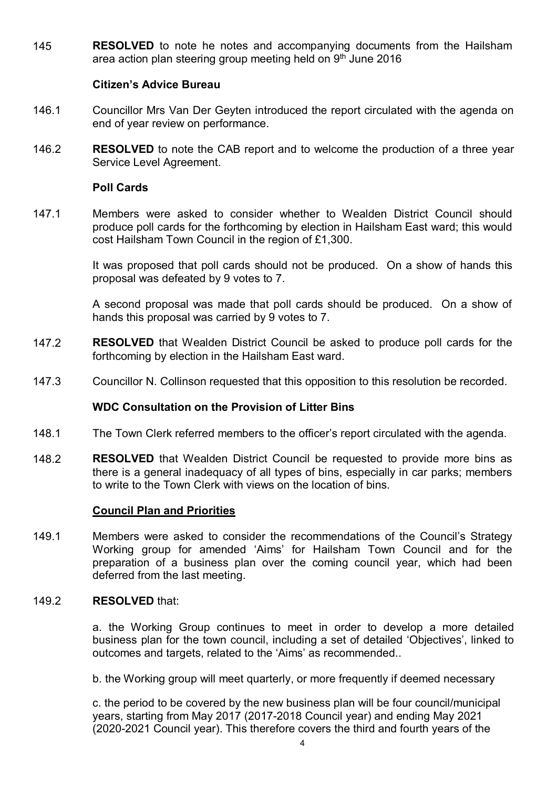145 **RESOLVED** to note he notes and accompanying documents from the Hailsham area action plan steering group meeting held on 9<sup>th</sup> June 2016

# **Citizen's Advice Bureau**

- 146.1 Councillor Mrs Van Der Geyten introduced the report circulated with the agenda on end of year review on performance.
- 146.2 **RESOLVED** to note the CAB report and to welcome the production of a three year Service Level Agreement.

### **Poll Cards**

147.1 Members were asked to consider whether to Wealden District Council should produce poll cards for the forthcoming by election in Hailsham East ward; this would cost Hailsham Town Council in the region of £1,300.

> It was proposed that poll cards should not be produced. On a show of hands this proposal was defeated by 9 votes to 7.

> A second proposal was made that poll cards should be produced. On a show of hands this proposal was carried by 9 votes to 7.

- 147.2 **RESOLVED** that Wealden District Council be asked to produce poll cards for the forthcoming by election in the Hailsham East ward.
- 147.3 Councillor N. Collinson requested that this opposition to this resolution be recorded.

# **WDC Consultation on the Provision of Litter Bins**

- 148.1 The Town Clerk referred members to the officer's report circulated with the agenda.
- 148.2 **RESOLVED** that Wealden District Council be requested to provide more bins as there is a general inadequacy of all types of bins, especially in car parks; members to write to the Town Clerk with views on the location of bins.

### **Council Plan and Priorities**

149.1 Members were asked to consider the recommendations of the Council's Strategy Working group for amended 'Aims' for Hailsham Town Council and for the preparation of a business plan over the coming council year, which had been deferred from the last meeting.

#### 149.2 **RESOLVED** that:

a. the Working Group continues to meet in order to develop a more detailed business plan for the town council, including a set of detailed 'Objectives', linked to outcomes and targets, related to the 'Aims' as recommended..

b. the Working group will meet quarterly, or more frequently if deemed necessary

c. the period to be covered by the new business plan will be four council/municipal years, starting from May 2017 (2017-2018 Council year) and ending May 2021 (2020-2021 Council year). This therefore covers the third and fourth years of the